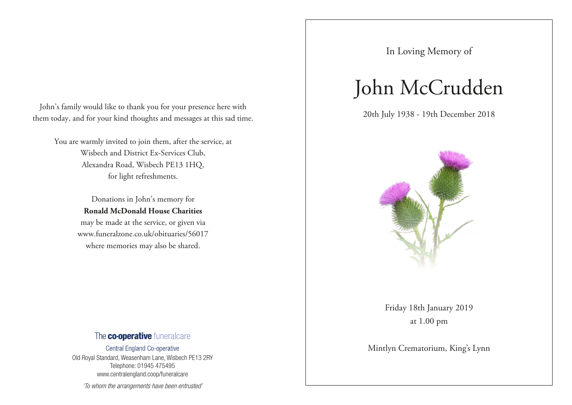John's family would like to thank you for your presence here with them today, and for your kind thoughts and messages at this sad time.

You are warmly invited to join them, after the service, at Wisbech and District Ex-Services Club, Alexandra Road, Wisbech PE13 1HQ, for light refreshments.

> Donations in John's memory for **Ronald McDonald House Charities** may be made at the service, or given via www.funeralzone.co.uk/obituaries/56017 where memories may also be shared.

### The co-operative funeralcare

Central England Co-operative Old Royal Standard, Weasenham Lane, Wisbech PE13 2RY Telephone: 01945 475495 www.centralengland.coop/funeralcare

'To whom the arrangements have been entrusted'

In Loving Memory of

# John McCrudden

20th July 1938 - 19th December 2018



Friday 18th January 2019 at 1.00 pm

Mintlyn Crematorium, King's Lynn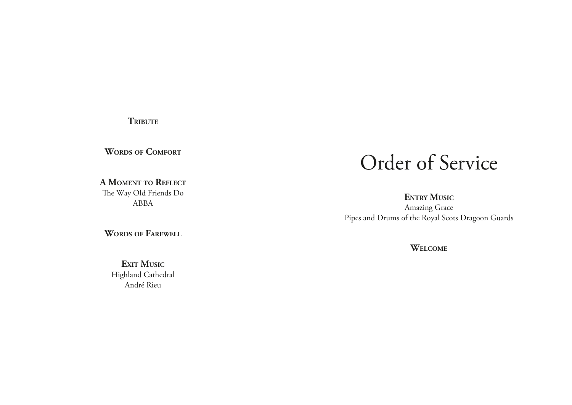**TRIBUTE** 

**Words of Comfort**

**A Moment to Reflect** The Way Old Friends Do ABBA

**Words of Farewell**

**EXIT MUSIC** Highland Cathedral André Rieu

## Order of Service

**ENTRY MUSIC** Amazing Grace Pipes and Drums of the Royal Scots Dragoon Guards

**Welcome**